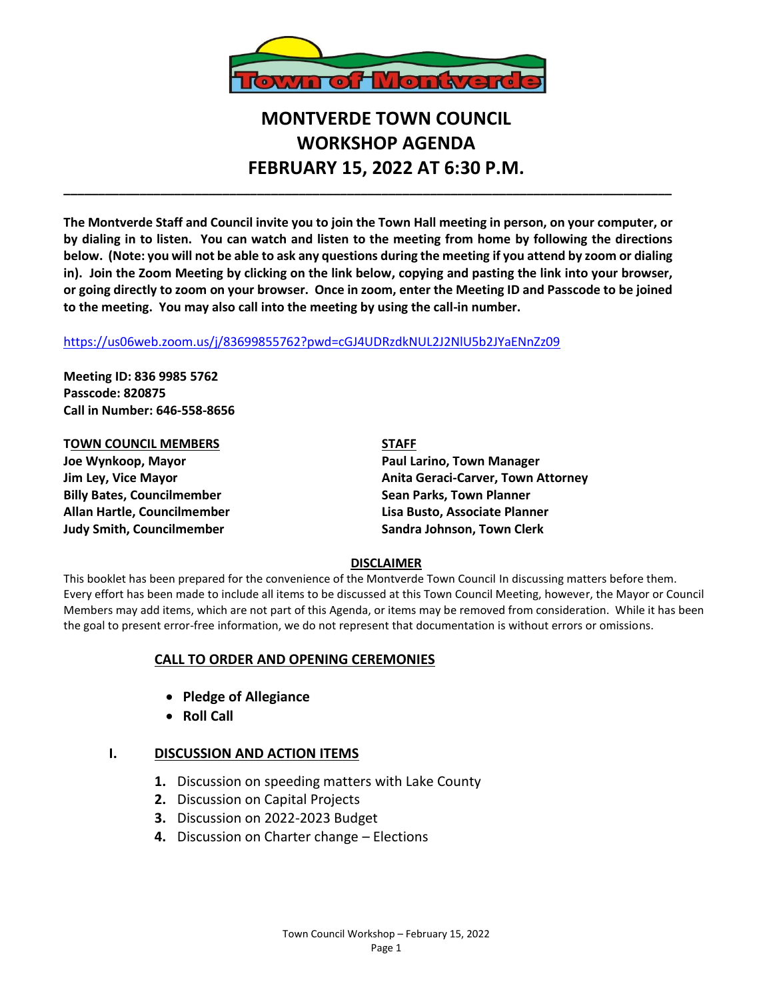

# **MONTVERDE TOWN COUNCIL WORKSHOP AGENDA FEBRUARY 15, 2022 AT 6:30 P.M.**

**The Montverde Staff and Council invite you to join the Town Hall meeting in person, on your computer, or by dialing in to listen. You can watch and listen to the meeting from home by following the directions below. (Note: you will not be able to ask any questions during the meeting if you attend by zoom or dialing in). Join the Zoom Meeting by clicking on the link below, copying and pasting the link into your browser, or going directly to zoom on your browser. Once in zoom, enter the Meeting ID and Passcode to be joined to the meeting. You may also call into the meeting by using the call-in number.** 

**\_\_\_\_\_\_\_\_\_\_\_\_\_\_\_\_\_\_\_\_\_\_\_\_\_\_\_\_\_\_\_\_\_\_\_\_\_\_\_\_\_\_\_\_\_\_\_\_\_\_\_\_\_\_\_\_\_\_\_\_\_\_\_\_\_\_\_\_\_\_\_\_\_\_\_\_\_\_\_\_\_\_\_\_\_\_\_\_**

#### <https://us06web.zoom.us/j/83699855762?pwd=cGJ4UDRzdkNUL2J2NlU5b2JYaENnZz09>

**Meeting ID: 836 9985 5762 Passcode: 820875 Call in Number: 646-558-8656**

**TOWN COUNCIL MEMBERS STAFF Joe Wynkoop, Mayor Paul Larino, Town Manager Billy Bates, Councilmember Sean Parks, Town Planner Allan Hartle, Councilmember Lisa Busto, Associate Planner Judy Smith, Councilmember Sandra Johnson, Town Clerk**

**Jim Ley, Vice Mayor Anita Geraci-Carver, Town Attorney**

### **DISCLAIMER**

This booklet has been prepared for the convenience of the Montverde Town Council In discussing matters before them. Every effort has been made to include all items to be discussed at this Town Council Meeting, however, the Mayor or Council Members may add items, which are not part of this Agenda, or items may be removed from consideration. While it has been the goal to present error-free information, we do not represent that documentation is without errors or omissions.

### **CALL TO ORDER AND OPENING CEREMONIES**

- **Pledge of Allegiance**
- **Roll Call**

## **I. DISCUSSION AND ACTION ITEMS**

- **1.** Discussion on speeding matters with Lake County
- **2.** Discussion on Capital Projects
- **3.** Discussion on 2022-2023 Budget
- **4.** Discussion on Charter change Elections